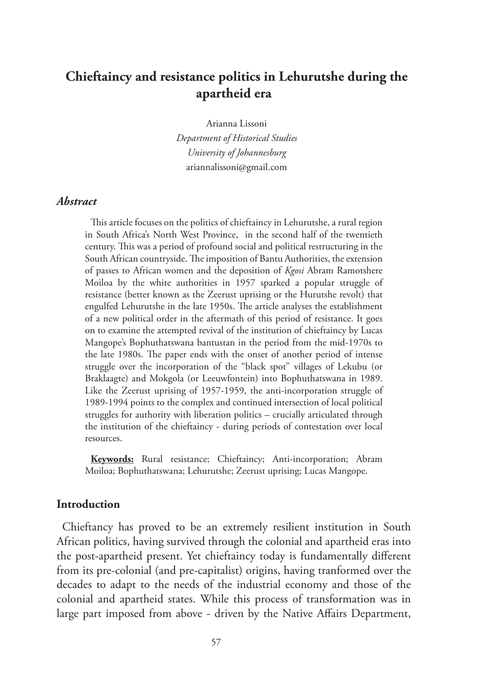# **Chieftaincy and resistance politics in Lehurutshe during the apartheid era**

Arianna Lissoni

*Department of Historical Studies University of Johannesburg* ariannalissoni@gmail.com

#### *Abstract*

This article focuses on the politics of chieftaincy in Lehurutshe, a rural region in South Africa's North West Province, in the second half of the twentieth century. This was a period of profound social and political restructuring in the South African countryside. The imposition of Bantu Authorities, the extension of passes to African women and the deposition of *Kgosi* Abram Ramotshere Moiloa by the white authorities in 1957 sparked a popular struggle of resistance (better known as the Zeerust uprising or the Hurutshe revolt) that engulfed Lehurutshe in the late 1950s. The article analyses the establishment of a new political order in the aftermath of this period of resistance. It goes on to examine the attempted revival of the institution of chieftaincy by Lucas Mangope's Bophuthatswana bantustan in the period from the mid-1970s to the late 1980s. The paper ends with the onset of another period of intense struggle over the incorporation of the "black spot" villages of Lekubu (or Braklaagte) and Mokgola (or Leeuwfontein) into Bophuthatswana in 1989. Like the Zeerust uprising of 1957-1959, the anti-incorporation struggle of 1989-1994 points to the complex and continued intersection of local political struggles for authority with liberation politics – crucially articulated through the institution of the chieftaincy - during periods of contestation over local resources.

**Keywords:** Rural resistance; Chieftaincy; Anti-incorporation; Abram Moiloa; Bophuthatswana; Lehurutshe; Zeerust uprising; Lucas Mangope.

#### **Introduction**

Chieftancy has proved to be an extremely resilient institution in South African politics, having survived through the colonial and apartheid eras into the post-apartheid present. Yet chieftaincy today is fundamentally different from its pre-colonial (and pre-capitalist) origins, having tranformed over the decades to adapt to the needs of the industrial economy and those of the colonial and apartheid states. While this process of transformation was in large part imposed from above - driven by the Native Affairs Department,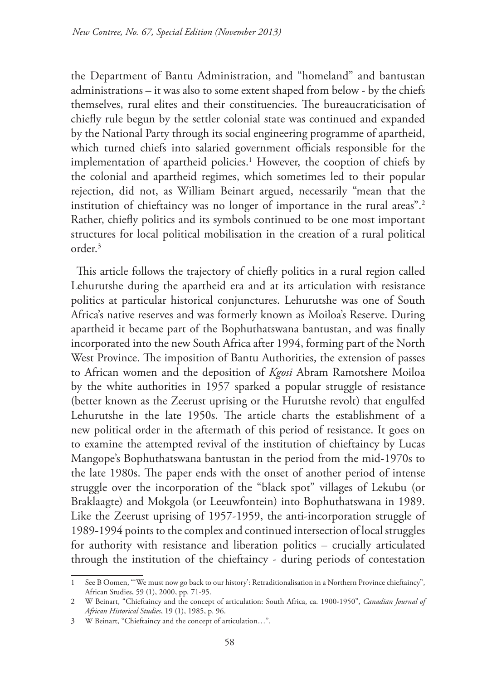the Department of Bantu Administration, and "homeland" and bantustan administrations – it was also to some extent shaped from below - by the chiefs themselves, rural elites and their constituencies. The bureaucraticisation of chiefly rule begun by the settler colonial state was continued and expanded by the National Party through its social engineering programme of apartheid, which turned chiefs into salaried government officials responsible for the implementation of apartheid policies.<sup>1</sup> However, the cooption of chiefs by the colonial and apartheid regimes, which sometimes led to their popular rejection, did not, as William Beinart argued, necessarily "mean that the institution of chieftaincy was no longer of importance in the rural areas".<sup>2</sup> Rather, chiefly politics and its symbols continued to be one most important structures for local political mobilisation in the creation of a rural political order.3

This article follows the trajectory of chiefly politics in a rural region called Lehurutshe during the apartheid era and at its articulation with resistance politics at particular historical conjunctures. Lehurutshe was one of South Africa's native reserves and was formerly known as Moiloa's Reserve. During apartheid it became part of the Bophuthatswana bantustan, and was finally incorporated into the new South Africa after 1994, forming part of the North West Province. The imposition of Bantu Authorities, the extension of passes to African women and the deposition of *Kgosi* Abram Ramotshere Moiloa by the white authorities in 1957 sparked a popular struggle of resistance (better known as the Zeerust uprising or the Hurutshe revolt) that engulfed Lehurutshe in the late 1950s. The article charts the establishment of a new political order in the aftermath of this period of resistance. It goes on to examine the attempted revival of the institution of chieftaincy by Lucas Mangope's Bophuthatswana bantustan in the period from the mid-1970s to the late 1980s. The paper ends with the onset of another period of intense struggle over the incorporation of the "black spot" villages of Lekubu (or Braklaagte) and Mokgola (or Leeuwfontein) into Bophuthatswana in 1989. Like the Zeerust uprising of 1957-1959, the anti-incorporation struggle of 1989-1994 points to the complex and continued intersection of local struggles for authority with resistance and liberation politics – crucially articulated through the institution of the chieftaincy - during periods of contestation

<sup>1</sup> See B Oomen, "'We must now go back to our history': Retraditionalisation in a Northern Province chieftaincy", African Studies, 59 (1), 2000, pp. 71-95.

<sup>2</sup> W Beinart, "Chieftaincy and the concept of articulation: South Africa, ca. 1900-1950", *Canadian Journal of African Historical Studies*, 19 (1), 1985, p. 96.

<sup>3</sup> W Beinart, "Chieftaincy and the concept of articulation…".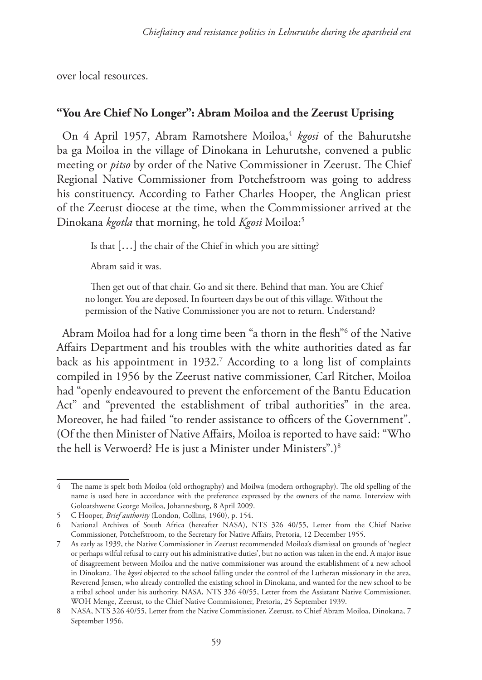over local resources.

## **"You Are Chief No Longer": Abram Moiloa and the Zeerust Uprising**

On 4 April 1957, Abram Ramotshere Moiloa,<sup>4</sup> *kgosi* of the Bahurutshe ba ga Moiloa in the village of Dinokana in Lehurutshe, convened a public meeting or *pitso* by order of the Native Commissioner in Zeerust. The Chief Regional Native Commissioner from Potchefstroom was going to address his constituency. According to Father Charles Hooper, the Anglican priest of the Zeerust diocese at the time, when the Commmissioner arrived at the Dinokana *kgotla* that morning, he told *Kgosi* Moiloa:5

Is that […] the chair of the Chief in which you are sitting?

Abram said it was.

Then get out of that chair. Go and sit there. Behind that man. You are Chief no longer. You are deposed. In fourteen days be out of this village. Without the permission of the Native Commissioner you are not to return. Understand?

Abram Moiloa had for a long time been "a thorn in the flesh"6 of the Native Affairs Department and his troubles with the white authorities dated as far back as his appointment in 1932.<sup>7</sup> According to a long list of complaints compiled in 1956 by the Zeerust native commissioner, Carl Ritcher, Moiloa had "openly endeavoured to prevent the enforcement of the Bantu Education Act" and "prevented the establishment of tribal authorities" in the area. Moreover, he had failed "to render assistance to officers of the Government". (Of the then Minister of Native Affairs, Moiloa is reported to have said: "Who the hell is Verwoerd? He is just a Minister under Ministers".)8

<sup>4</sup> The name is spelt both Moiloa (old orthography) and Moilwa (modern orthography). The old spelling of the name is used here in accordance with the preference expressed by the owners of the name. Interview with Goloatshwene George Moiloa, Johannesburg, 8 April 2009.

<sup>5</sup> C Hooper, *Brief authority* (London, Collins, 1960), p. 154.

<sup>6</sup> National Archives of South Africa (hereafter NASA), NTS 326 40/55, Letter from the Chief Native Commissioner, Potchefstroom, to the Secretary for Native Affairs, Pretoria, 12 December 1955.

<sup>7</sup> As early as 1939, the Native Commissioner in Zeerust recommended Moiloa's dismissal on grounds of 'neglect or perhaps wilful refusal to carry out his administrative duties', but no action was taken in the end. A major issue of disagreement between Moiloa and the native commissioner was around the establishment of a new school in Dinokana. The *kgosi* objected to the school falling under the control of the Lutheran missionary in the area, Reverend Jensen, who already controlled the existing school in Dinokana, and wanted for the new school to be a tribal school under his authority. NASA, NTS 326 40/55, Letter from the Assistant Native Commissioner, WOH Menge, Zeerust, to the Chief Native Commissioner, Pretoria, 25 September 1939.

<sup>8</sup> NASA, NTS 326 40/55, Letter from the Native Commissioner, Zeerust, to Chief Abram Moiloa, Dinokana, 7 September 1956.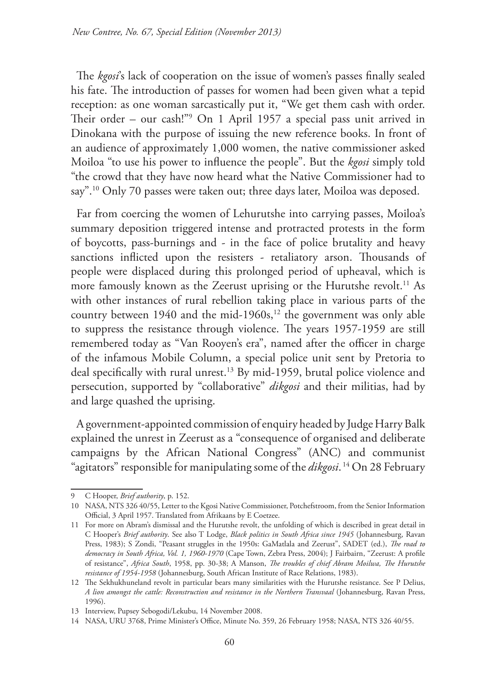The *kgosi*'s lack of cooperation on the issue of women's passes finally sealed his fate. The introduction of passes for women had been given what a tepid reception: as one woman sarcastically put it, "We get them cash with order. Their order – our cash!"9 On 1 April 1957 a special pass unit arrived in Dinokana with the purpose of issuing the new reference books. In front of an audience of approximately 1,000 women, the native commissioner asked Moiloa "to use his power to influence the people". But the *kgosi* simply told "the crowd that they have now heard what the Native Commissioner had to say".<sup>10</sup> Only 70 passes were taken out; three days later, Moiloa was deposed.

Far from coercing the women of Lehurutshe into carrying passes, Moiloa's summary deposition triggered intense and protracted protests in the form of boycotts, pass-burnings and - in the face of police brutality and heavy sanctions inflicted upon the resisters - retaliatory arson. Thousands of people were displaced during this prolonged period of upheaval, which is more famously known as the Zeerust uprising or the Hurutshe revolt.<sup>11</sup> As with other instances of rural rebellion taking place in various parts of the country between  $1940$  and the mid- $1960s$ ,<sup>12</sup> the government was only able to suppress the resistance through violence. The years 1957-1959 are still remembered today as "Van Rooyen's era", named after the officer in charge of the infamous Mobile Column, a special police unit sent by Pretoria to deal specifically with rural unrest.13 By mid-1959, brutal police violence and persecution, supported by "collaborative" *dikgosi* and their militias, had by and large quashed the uprising.

A government-appointed commission of enquiry headed by Judge Harry Balk explained the unrest in Zeerust as a "consequence of organised and deliberate campaigns by the African National Congress" (ANC) and communist "agitators" responsible for manipulating some of the *dikgosi*. 14 On 28 February

<sup>9</sup> C Hooper, *Brief authority*, p. 152.

<sup>10</sup> NASA, NTS 326 40/55, Letter to the Kgosi Native Commissioner, Potchefstroom, from the Senior Information Official, 3 April 1957. Translated from Afrikaans by E Coetzee.

<sup>11</sup> For more on Abram's dismissal and the Hurutshe revolt, the unfolding of which is described in great detail in C Hooper's *Brief authority*. See also T Lodge, *Black politics in South Africa since 1945* (Johannesburg, Ravan Press, 1983); S Zondi, "Peasant struggles in the 1950s: GaMatlala and Zeerust", SADET (ed.), *The road to democracy in South Africa, Vol. 1, 1960-1970* (Cape Town, Zebra Press, 2004); J Fairbairn, "Zeerust: A profile of resistance", *Africa South*, 1958, pp. 30-38; A Manson, *The troubles of chief Abram Moilwa, The Hurutshe resistance of 1954-1958* (Johannesburg, South African Institute of Race Relations, 1983).

<sup>12</sup> The Sekhukhuneland revolt in particular bears many similarities with the Hurutshe resistance. See P Delius, *A lion amongst the cattle: Reconstruction and resistance in the Northern Transvaal* (Johannesburg, Ravan Press, 1996).

<sup>13</sup> Interview, Pupsey Sebogodi/Lekubu, 14 November 2008.

<sup>14</sup> NASA, URU 3768, Prime Minister's Office, Minute No. 359, 26 February 1958; NASA, NTS 326 40/55.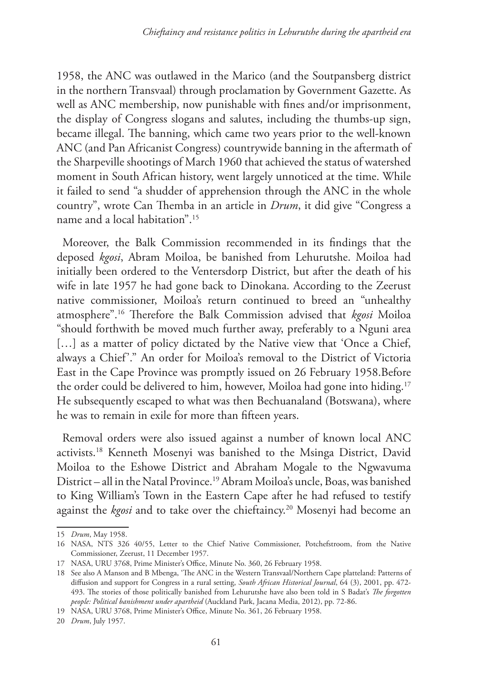1958, the ANC was outlawed in the Marico (and the Soutpansberg district in the northern Transvaal) through proclamation by Government Gazette. As well as ANC membership, now punishable with fines and/or imprisonment, the display of Congress slogans and salutes, including the thumbs-up sign, became illegal. The banning, which came two years prior to the well-known ANC (and Pan Africanist Congress) countrywide banning in the aftermath of the Sharpeville shootings of March 1960 that achieved the status of watershed moment in South African history, went largely unnoticed at the time. While it failed to send "a shudder of apprehension through the ANC in the whole country", wrote Can Themba in an article in *Drum*, it did give "Congress a name and a local habitation".15

Moreover, the Balk Commission recommended in its findings that the deposed *kgosi*, Abram Moiloa, be banished from Lehurutshe. Moiloa had initially been ordered to the Ventersdorp District, but after the death of his wife in late 1957 he had gone back to Dinokana. According to the Zeerust native commissioner, Moiloa's return continued to breed an "unhealthy atmosphere".16 Therefore the Balk Commission advised that *kgosi* Moiloa "should forthwith be moved much further away, preferably to a Nguni area [...] as a matter of policy dictated by the Native view that 'Once a Chief, always a Chief'." An order for Moiloa's removal to the District of Victoria East in the Cape Province was promptly issued on 26 February 1958.Before the order could be delivered to him, however, Moiloa had gone into hiding.<sup>17</sup> He subsequently escaped to what was then Bechuanaland (Botswana), where he was to remain in exile for more than fifteen years.

Removal orders were also issued against a number of known local ANC activists.18 Kenneth Mosenyi was banished to the Msinga District, David Moiloa to the Eshowe District and Abraham Mogale to the Ngwavuma District – all in the Natal Province.19 Abram Moiloa's uncle, Boas, was banished to King William's Town in the Eastern Cape after he had refused to testify against the *kgosi* and to take over the chieftaincy.<sup>20</sup> Mosenyi had become an

20 *Drum*, July 1957.

<sup>15</sup> *Drum*, May 1958.

<sup>16</sup> NASA, NTS 326 40/55, Letter to the Chief Native Commissioner, Potchefstroom, from the Native Commissioner, Zeerust, 11 December 1957.

<sup>17</sup> NASA, URU 3768, Prime Minister's Office, Minute No. 360, 26 February 1958.

<sup>18</sup> See also A Manson and B Mbenga, 'The ANC in the Western Transvaal/Northern Cape platteland: Patterns of diffusion and support for Congress in a rural setting, *South African Historical Journal*, 64 (3), 2001, pp. 472- 493. The stories of those politically banished from Lehurutshe have also been told in S Badat's *The forgotten people: Political banishment under apartheid* (Auckland Park, Jacana Media, 2012), pp. 72-86.

<sup>19</sup> NASA, URU 3768, Prime Minister's Office, Minute No. 361, 26 February 1958.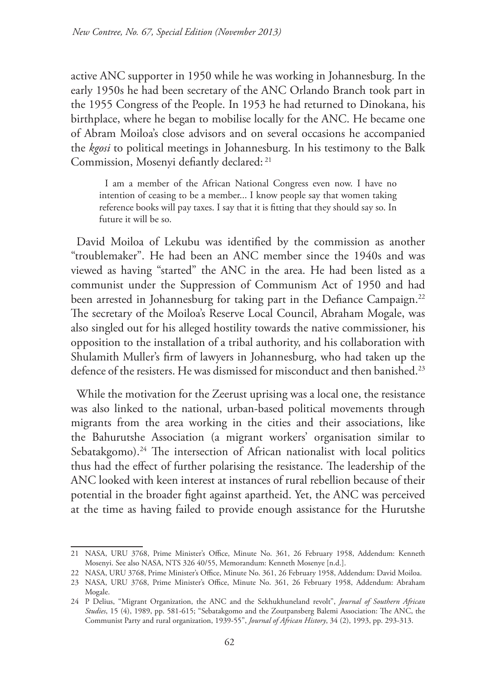active ANC supporter in 1950 while he was working in Johannesburg. In the early 1950s he had been secretary of the ANC Orlando Branch took part in the 1955 Congress of the People. In 1953 he had returned to Dinokana, his birthplace, where he began to mobilise locally for the ANC. He became one of Abram Moiloa's close advisors and on several occasions he accompanied the *kgosi* to political meetings in Johannesburg. In his testimony to the Balk Commission, Mosenyi defiantly declared: 21

I am a member of the African National Congress even now. I have no intention of ceasing to be a member... I know people say that women taking reference books will pay taxes. I say that it is fitting that they should say so. In future it will be so.

David Moiloa of Lekubu was identified by the commission as another "troublemaker". He had been an ANC member since the 1940s and was viewed as having "started" the ANC in the area. He had been listed as a communist under the Suppression of Communism Act of 1950 and had been arrested in Johannesburg for taking part in the Defiance Campaign.<sup>22</sup> The secretary of the Moiloa's Reserve Local Council, Abraham Mogale, was also singled out for his alleged hostility towards the native commissioner, his opposition to the installation of a tribal authority, and his collaboration with Shulamith Muller's firm of lawyers in Johannesburg, who had taken up the defence of the resisters. He was dismissed for misconduct and then banished.23

While the motivation for the Zeerust uprising was a local one, the resistance was also linked to the national, urban-based political movements through migrants from the area working in the cities and their associations, like the Bahurutshe Association (a migrant workers' organisation similar to Sebatakgomo).<sup>24</sup> The intersection of African nationalist with local politics thus had the effect of further polarising the resistance. The leadership of the ANC looked with keen interest at instances of rural rebellion because of their potential in the broader fight against apartheid. Yet, the ANC was perceived at the time as having failed to provide enough assistance for the Hurutshe

<sup>21</sup> NASA, URU 3768, Prime Minister's Office, Minute No. 361, 26 February 1958, Addendum: Kenneth Mosenyi. See also NASA, NTS 326 40/55, Memorandum: Kenneth Mosenye [n.d.].

<sup>22</sup> NASA, URU 3768, Prime Minister's Office, Minute No. 361, 26 February 1958, Addendum: David Moiloa.

<sup>23</sup> NASA, URU 3768, Prime Minister's Office, Minute No. 361, 26 February 1958, Addendum: Abraham Mogale.

<sup>24</sup> P Delius, "Migrant Organization, the ANC and the Sekhukhuneland revolt", *Journal of Southern African Studies*, 15 (4), 1989, pp. 581-615; "Sebatakgomo and the Zoutpansberg Balemi Association: The ANC, the Communist Party and rural organization, 1939-55", *Journal of African History*, 34 (2), 1993, pp. 293-313.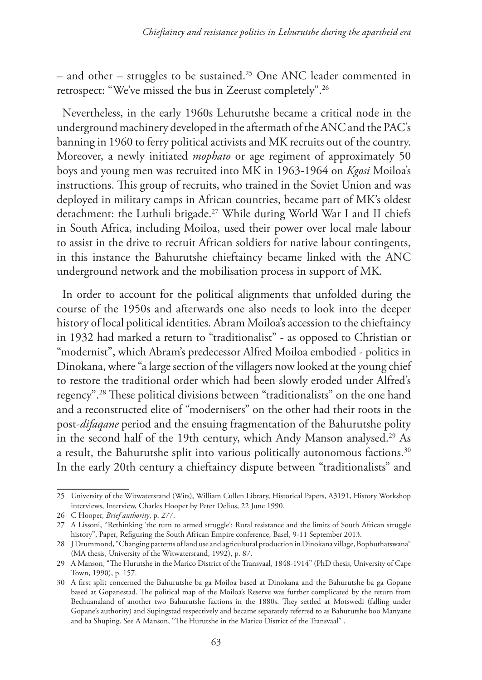– and other – struggles to be sustained.25 One ANC leader commented in retrospect: "We've missed the bus in Zeerust completely".26

Nevertheless, in the early 1960s Lehurutshe became a critical node in the underground machinery developed in the aftermath of the ANC and the PAC's banning in 1960 to ferry political activists and MK recruits out of the country. Moreover, a newly initiated *mophato* or age regiment of approximately 50 boys and young men was recruited into MK in 1963-1964 on *Kgosi* Moiloa's instructions. This group of recruits, who trained in the Soviet Union and was deployed in military camps in African countries, became part of MK's oldest detachment: the Luthuli brigade.<sup>27</sup> While during World War I and II chiefs in South Africa, including Moiloa, used their power over local male labour to assist in the drive to recruit African soldiers for native labour contingents, in this instance the Bahurutshe chieftaincy became linked with the ANC underground network and the mobilisation process in support of MK.

In order to account for the political alignments that unfolded during the course of the 1950s and afterwards one also needs to look into the deeper history of local political identities. Abram Moiloa's accession to the chieftaincy in 1932 had marked a return to "traditionalist" - as opposed to Christian or "modernist", which Abram's predecessor Alfred Moiloa embodied - politics in Dinokana, where "a large section of the villagers now looked at the young chief to restore the traditional order which had been slowly eroded under Alfred's regency".28 These political divisions between "traditionalists" on the one hand and a reconstructed elite of "modernisers" on the other had their roots in the post-*difaqane* period and the ensuing fragmentation of the Bahurutshe polity in the second half of the 19th century, which Andy Manson analysed.<sup>29</sup> As a result, the Bahurutshe split into various politically autonomous factions.<sup>30</sup> In the early 20th century a chieftaincy dispute between "traditionalists" and

<sup>25</sup> University of the Witwatersrand (Wits), William Cullen Library, Historical Papers, A3191, History Workshop interviews, Interview, Charles Hooper by Peter Delius, 22 June 1990.

<sup>26</sup> C Hooper, *Brief authority*, p. 277.

<sup>27</sup> A Lissoni, "Rethinking 'the turn to armed struggle': Rural resistance and the limits of South African struggle history", Paper, Refiguring the South African Empire conference, Basel, 9-11 September 2013.

<sup>28</sup> J Drummond, "Changing patterns of land use and agricultural production in Dinokana village, Bophuthatswana" (MA thesis, University of the Witwatersrand, 1992), p. 87.

<sup>29</sup> A Manson, "The Hurutshe in the Marico District of the Transvaal, 1848-1914" (PhD thesis, University of Cape Town, 1990), p. 157.

<sup>30</sup> A first split concerned the Bahurutshe ba ga Moiloa based at Dinokana and the Bahurutshe ba ga Gopane based at Gopanestad. The political map of the Moiloa's Reserve was further complicated by the return from Bechuanaland of another two Bahurutshe factions in the 1880s. They settled at Motswedi (falling under Gopane's authority) and Supingstad respectively and became separately referred to as Bahurutshe boo Manyane and ba Shuping. See A Manson, "The Hurutshe in the Marico District of the Transvaal" .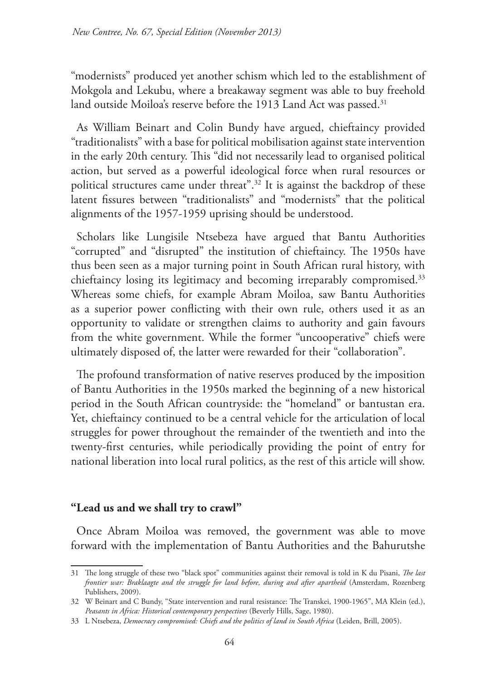"modernists" produced yet another schism which led to the establishment of Mokgola and Lekubu, where a breakaway segment was able to buy freehold land outside Moiloa's reserve before the 1913 Land Act was passed.<sup>31</sup>

As William Beinart and Colin Bundy have argued, chieftaincy provided "traditionalists" with a base for political mobilisation against state intervention in the early 20th century. This "did not necessarily lead to organised political action, but served as a powerful ideological force when rural resources or political structures came under threat".32 It is against the backdrop of these latent fissures between "traditionalists" and "modernists" that the political alignments of the 1957-1959 uprising should be understood.

Scholars like Lungisile Ntsebeza have argued that Bantu Authorities "corrupted" and "disrupted" the institution of chieftaincy. The 1950s have thus been seen as a major turning point in South African rural history, with chieftaincy losing its legitimacy and becoming irreparably compromised.<sup>33</sup> Whereas some chiefs, for example Abram Moiloa, saw Bantu Authorities as a superior power conflicting with their own rule, others used it as an opportunity to validate or strengthen claims to authority and gain favours from the white government. While the former "uncooperative" chiefs were ultimately disposed of, the latter were rewarded for their "collaboration".

The profound transformation of native reserves produced by the imposition of Bantu Authorities in the 1950s marked the beginning of a new historical period in the South African countryside: the "homeland" or bantustan era. Yet, chieftaincy continued to be a central vehicle for the articulation of local struggles for power throughout the remainder of the twentieth and into the twenty-first centuries, while periodically providing the point of entry for national liberation into local rural politics, as the rest of this article will show.

## **"Lead us and we shall try to crawl"**

Once Abram Moiloa was removed, the government was able to move forward with the implementation of Bantu Authorities and the Bahurutshe

<sup>31</sup> The long struggle of these two "black spot" communities against their removal is told in K du Pisani, *The last frontier war: Braklaagte and the struggle for land before, during and after apartheid* (Amsterdam, Rozenberg Publishers, 2009).

<sup>32</sup> W Beinart and C Bundy, "State intervention and rural resistance: The Transkei, 1900-1965", MA Klein (ed.), *Peasants in Africa: Historical contemporary perspectives* (Beverly Hills, Sage, 1980).

<sup>33</sup> L Ntsebeza, *Democracy compromised: Chiefs and the politics of land in South Africa* (Leiden, Brill, 2005).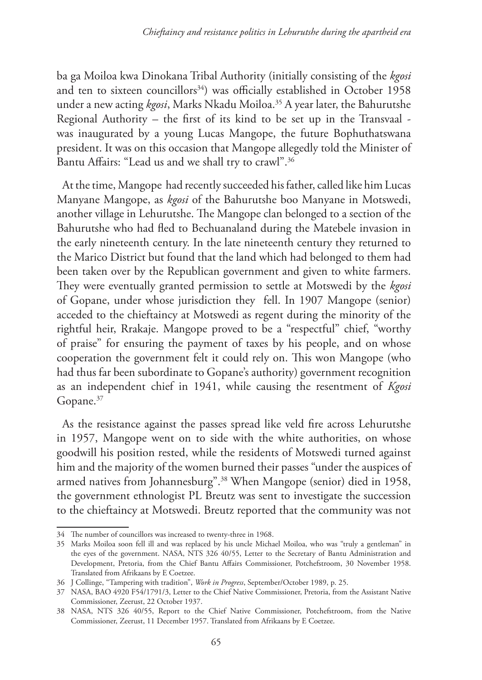ba ga Moiloa kwa Dinokana Tribal Authority (initially consisting of the *kgosi* and ten to sixteen councillors<sup>34</sup>) was officially established in October 1958 under a new acting *kgosi*, Marks Nkadu Moiloa.35 A year later, the Bahurutshe Regional Authority – the first of its kind to be set up in the Transvaal was inaugurated by a young Lucas Mangope, the future Bophuthatswana president. It was on this occasion that Mangope allegedly told the Minister of Bantu Affairs: "Lead us and we shall try to crawl".36

At the time, Mangope had recently succeeded his father, called like him Lucas Manyane Mangope, as *kgosi* of the Bahurutshe boo Manyane in Motswedi, another village in Lehurutshe. The Mangope clan belonged to a section of the Bahurutshe who had fled to Bechuanaland during the Matebele invasion in the early nineteenth century. In the late nineteenth century they returned to the Marico District but found that the land which had belonged to them had been taken over by the Republican government and given to white farmers. They were eventually granted permission to settle at Motswedi by the *kgosi* of Gopane, under whose jurisdiction they fell. In 1907 Mangope (senior) acceded to the chieftaincy at Motswedi as regent during the minority of the rightful heir, Rrakaje. Mangope proved to be a "respectful" chief, "worthy of praise" for ensuring the payment of taxes by his people, and on whose cooperation the government felt it could rely on. This won Mangope (who had thus far been subordinate to Gopane's authority) government recognition as an independent chief in 1941, while causing the resentment of *Kgosi*  Gopane.<sup>37</sup>

As the resistance against the passes spread like veld fire across Lehurutshe in 1957, Mangope went on to side with the white authorities, on whose goodwill his position rested, while the residents of Motswedi turned against him and the majority of the women burned their passes "under the auspices of armed natives from Johannesburg".38 When Mangope (senior) died in 1958, the government ethnologist PL Breutz was sent to investigate the succession to the chieftaincy at Motswedi. Breutz reported that the community was not

<sup>34</sup> The number of councillors was increased to twenty-three in 1968.

<sup>35</sup> Marks Moiloa soon fell ill and was replaced by his uncle Michael Moiloa, who was "truly a gentleman" in the eyes of the government. NASA, NTS 326 40/55, Letter to the Secretary of Bantu Administration and Development, Pretoria, from the Chief Bantu Affairs Commissioner, Potchefstroom, 30 November 1958. Translated from Afrikaans by E Coetzee.

<sup>36</sup> J Collinge, "Tampering with tradition", *Work in Progress*, September/October 1989, p. 25.

<sup>37</sup> NASA, BAO 4920 F54/1791/3, Letter to the Chief Native Commissioner, Pretoria, from the Assistant Native Commissioner, Zeerust, 22 October 1937.

<sup>38</sup> NASA, NTS 326 40/55, Report to the Chief Native Commissioner, Potchefstroom, from the Native Commissioner, Zeerust, 11 December 1957. Translated from Afrikaans by E Coetzee.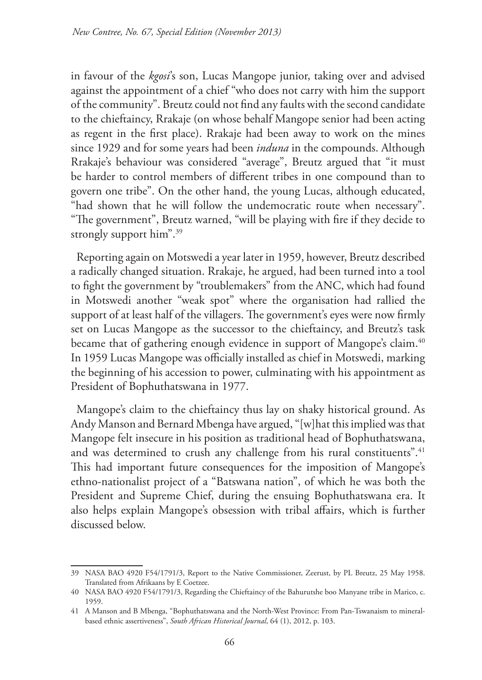in favour of the *kgosi*'s son, Lucas Mangope junior, taking over and advised against the appointment of a chief "who does not carry with him the support of the community". Breutz could not find any faults with the second candidate to the chieftaincy, Rrakaje (on whose behalf Mangope senior had been acting as regent in the first place). Rrakaje had been away to work on the mines since 1929 and for some years had been *induna* in the compounds. Although Rrakaje's behaviour was considered "average", Breutz argued that "it must be harder to control members of different tribes in one compound than to govern one tribe". On the other hand, the young Lucas, although educated, "had shown that he will follow the undemocratic route when necessary". "The government", Breutz warned, "will be playing with fire if they decide to strongly support him".<sup>39</sup>

Reporting again on Motswedi a year later in 1959, however, Breutz described a radically changed situation. Rrakaje, he argued, had been turned into a tool to fight the government by "troublemakers" from the ANC, which had found in Motswedi another "weak spot" where the organisation had rallied the support of at least half of the villagers. The government's eyes were now firmly set on Lucas Mangope as the successor to the chieftaincy, and Breutz's task became that of gathering enough evidence in support of Mangope's claim.<sup>40</sup> In 1959 Lucas Mangope was officially installed as chief in Motswedi, marking the beginning of his accession to power, culminating with his appointment as President of Bophuthatswana in 1977.

Mangope's claim to the chieftaincy thus lay on shaky historical ground. As Andy Manson and Bernard Mbenga have argued, "[w]hat this implied was that Mangope felt insecure in his position as traditional head of Bophuthatswana, and was determined to crush any challenge from his rural constituents".<sup>41</sup> This had important future consequences for the imposition of Mangope's ethno-nationalist project of a "Batswana nation", of which he was both the President and Supreme Chief, during the ensuing Bophuthatswana era. It also helps explain Mangope's obsession with tribal affairs, which is further discussed below.

<sup>39</sup> NASA BAO 4920 F54/1791/3, Report to the Native Commissioner, Zeerust, by PL Breutz, 25 May 1958. Translated from Afrikaans by E Coetzee.

<sup>40</sup> NASA BAO 4920 F54/1791/3, Regarding the Chieftaincy of the Bahurutshe boo Manyane tribe in Marico, c. 1959.

<sup>41</sup> A Manson and B Mbenga, "Bophuthatswana and the North-West Province: From Pan-Tswanaism to mineralbased ethnic assertiveness", *South African Historical Journal*, 64 (1), 2012, p. 103.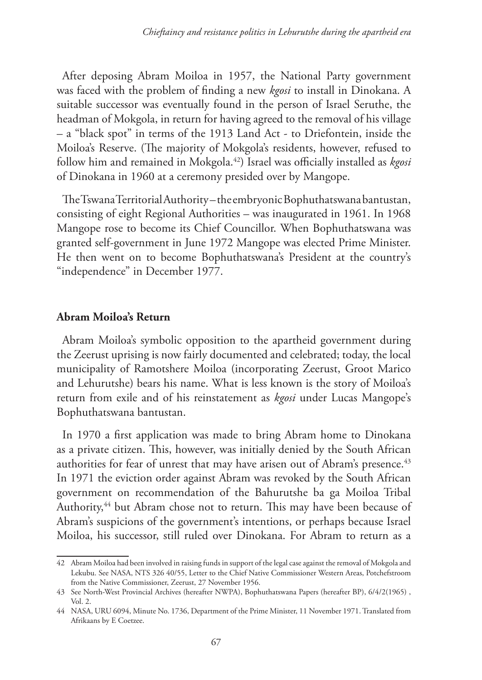After deposing Abram Moiloa in 1957, the National Party government was faced with the problem of finding a new *kgosi* to install in Dinokana. A suitable successor was eventually found in the person of Israel Seruthe, the headman of Mokgola, in return for having agreed to the removal of his village – a "black spot" in terms of the 1913 Land Act - to Driefontein, inside the Moiloa's Reserve. (The majority of Mokgola's residents, however, refused to follow him and remained in Mokgola.42) Israel was officially installed as *kgosi* of Dinokana in 1960 at a ceremony presided over by Mangope.

The Tswana Territorial Authority – the embryonic Bophuthatswana bantustan, consisting of eight Regional Authorities – was inaugurated in 1961. In 1968 Mangope rose to become its Chief Councillor. When Bophuthatswana was granted self-government in June 1972 Mangope was elected Prime Minister. He then went on to become Bophuthatswana's President at the country's "independence" in December 1977.

### **Abram Moiloa's Return**

Abram Moiloa's symbolic opposition to the apartheid government during the Zeerust uprising is now fairly documented and celebrated; today, the local municipality of Ramotshere Moiloa (incorporating Zeerust, Groot Marico and Lehurutshe) bears his name. What is less known is the story of Moiloa's return from exile and of his reinstatement as *kgosi* under Lucas Mangope's Bophuthatswana bantustan.

In 1970 a first application was made to bring Abram home to Dinokana as a private citizen. This, however, was initially denied by the South African authorities for fear of unrest that may have arisen out of Abram's presence.<sup>43</sup> In 1971 the eviction order against Abram was revoked by the South African government on recommendation of the Bahurutshe ba ga Moiloa Tribal Authority,<sup>44</sup> but Abram chose not to return. This may have been because of Abram's suspicions of the government's intentions, or perhaps because Israel Moiloa, his successor, still ruled over Dinokana. For Abram to return as a

<sup>42</sup> Abram Moiloa had been involved in raising funds in support of the legal case against the removal of Mokgola and Lekubu. See NASA, NTS 326 40/55, Letter to the Chief Native Commissioner Western Areas, Potchefstroom from the Native Commissioner, Zeerust, 27 November 1956.

<sup>43</sup> See North-West Provincial Archives (hereafter NWPA), Bophuthatswana Papers (hereafter BP), 6/4/2(1965) , Vol. 2.

<sup>44</sup> NASA, URU 6094, Minute No. 1736, Department of the Prime Minister, 11 November 1971. Translated from Afrikaans by E Coetzee.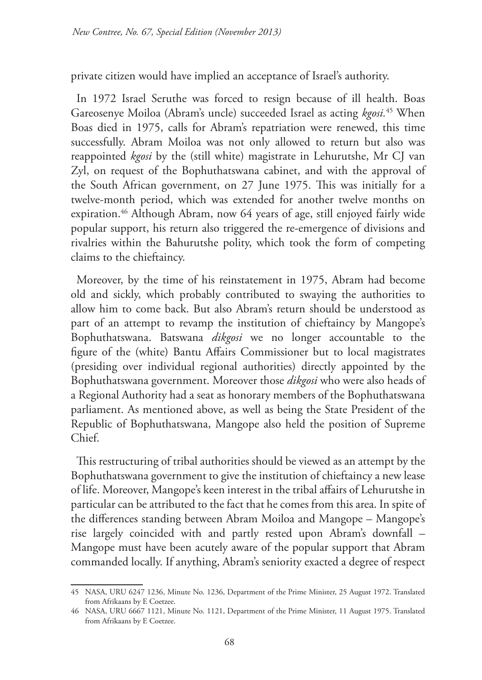private citizen would have implied an acceptance of Israel's authority.

In 1972 Israel Seruthe was forced to resign because of ill health. Boas Gareosenye Moiloa (Abram's uncle) succeeded Israel as acting *kgosi.*45 When Boas died in 1975, calls for Abram's repatriation were renewed, this time successfully. Abram Moiloa was not only allowed to return but also was reappointed *kgosi* by the (still white) magistrate in Lehurutshe, Mr CJ van Zyl, on request of the Bophuthatswana cabinet, and with the approval of the South African government, on 27 June 1975. This was initially for a twelve-month period, which was extended for another twelve months on expiration.46 Although Abram, now 64 years of age, still enjoyed fairly wide popular support, his return also triggered the re-emergence of divisions and rivalries within the Bahurutshe polity, which took the form of competing claims to the chieftaincy.

Moreover, by the time of his reinstatement in 1975, Abram had become old and sickly, which probably contributed to swaying the authorities to allow him to come back. But also Abram's return should be understood as part of an attempt to revamp the institution of chieftaincy by Mangope's Bophuthatswana. Batswana *dikgosi* we no longer accountable to the figure of the (white) Bantu Affairs Commissioner but to local magistrates (presiding over individual regional authorities) directly appointed by the Bophuthatswana government. Moreover those *dikgosi* who were also heads of a Regional Authority had a seat as honorary members of the Bophuthatswana parliament. As mentioned above, as well as being the State President of the Republic of Bophuthatswana, Mangope also held the position of Supreme Chief.

This restructuring of tribal authorities should be viewed as an attempt by the Bophuthatswana government to give the institution of chieftaincy a new lease of life. Moreover, Mangope's keen interest in the tribal affairs of Lehurutshe in particular can be attributed to the fact that he comes from this area. In spite of the differences standing between Abram Moiloa and Mangope – Mangope's rise largely coincided with and partly rested upon Abram's downfall – Mangope must have been acutely aware of the popular support that Abram commanded locally. If anything, Abram's seniority exacted a degree of respect

<sup>45</sup> NASA, URU 6247 1236, Minute No. 1236, Department of the Prime Minister, 25 August 1972. Translated from Afrikaans by E Coetzee.

<sup>46</sup> NASA, URU 6667 1121, Minute No. 1121, Department of the Prime Minister, 11 August 1975. Translated from Afrikaans by E Coetzee.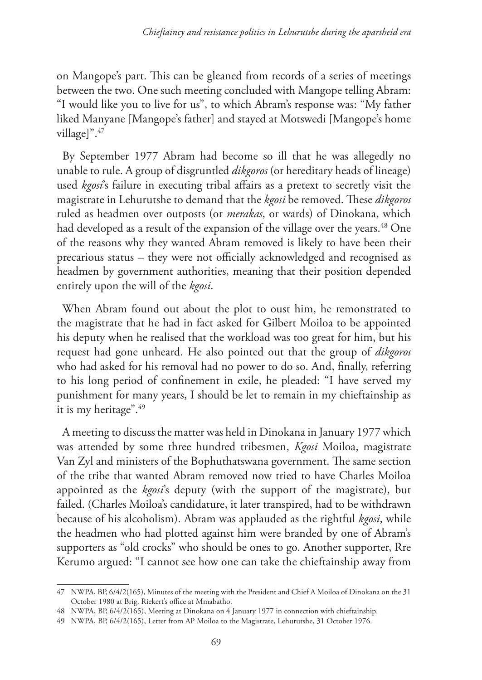on Mangope's part. This can be gleaned from records of a series of meetings between the two. One such meeting concluded with Mangope telling Abram: "I would like you to live for us", to which Abram's response was: "My father liked Manyane [Mangope's father] and stayed at Motswedi [Mangope's home village]".<sup>47</sup>

By September 1977 Abram had become so ill that he was allegedly no unable to rule. A group of disgruntled *dikgoros* (or hereditary heads of lineage) used *kgosi*'s failure in executing tribal affairs as a pretext to secretly visit the magistrate in Lehurutshe to demand that the *kgosi* be removed. These *dikgoros* ruled as headmen over outposts (or *merakas*, or wards) of Dinokana, which had developed as a result of the expansion of the village over the years.<sup>48</sup> One of the reasons why they wanted Abram removed is likely to have been their precarious status – they were not officially acknowledged and recognised as headmen by government authorities, meaning that their position depended entirely upon the will of the *kgosi*.

When Abram found out about the plot to oust him, he remonstrated to the magistrate that he had in fact asked for Gilbert Moiloa to be appointed his deputy when he realised that the workload was too great for him, but his request had gone unheard. He also pointed out that the group of *dikgoros* who had asked for his removal had no power to do so. And, finally, referring to his long period of confinement in exile, he pleaded: "I have served my punishment for many years, I should be let to remain in my chieftainship as it is my heritage".49

A meeting to discuss the matter was held in Dinokana in January 1977 which was attended by some three hundred tribesmen, *Kgosi* Moiloa, magistrate Van Zyl and ministers of the Bophuthatswana government. The same section of the tribe that wanted Abram removed now tried to have Charles Moiloa appointed as the *kgosi*'s deputy (with the support of the magistrate), but failed. (Charles Moiloa's candidature, it later transpired, had to be withdrawn because of his alcoholism). Abram was applauded as the rightful *kgosi*, while the headmen who had plotted against him were branded by one of Abram's supporters as "old crocks" who should be ones to go. Another supporter, Rre Kerumo argued: "I cannot see how one can take the chieftainship away from

<sup>47</sup> NWPA, BP, 6/4/2(165), Minutes of the meeting with the President and Chief A Moiloa of Dinokana on the 31 October 1980 at Brig. Riekert's office at Mmabatho.

<sup>48</sup> NWPA, BP, 6/4/2(165), Meeting at Dinokana on 4 January 1977 in connection with chieftainship.

<sup>49</sup> NWPA, BP, 6/4/2(165), Letter from AP Moiloa to the Magistrate, Lehurutshe, 31 October 1976.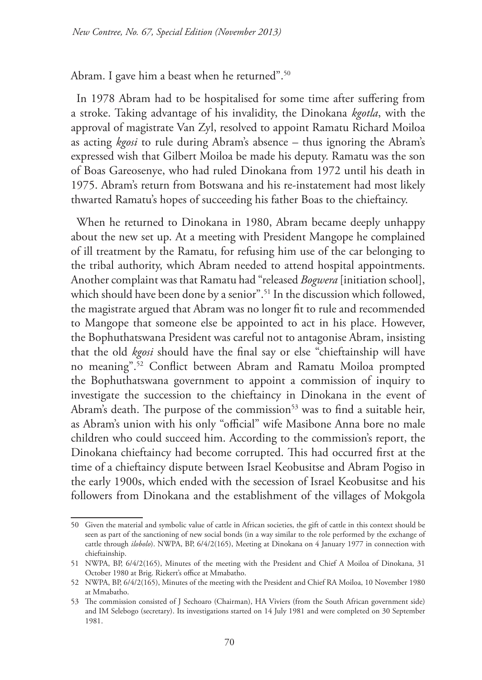Abram. I gave him a beast when he returned".<sup>50</sup>

In 1978 Abram had to be hospitalised for some time after suffering from a stroke. Taking advantage of his invalidity, the Dinokana *kgotla*, with the approval of magistrate Van Zyl, resolved to appoint Ramatu Richard Moiloa as acting *kgosi* to rule during Abram's absence – thus ignoring the Abram's expressed wish that Gilbert Moiloa be made his deputy. Ramatu was the son of Boas Gareosenye, who had ruled Dinokana from 1972 until his death in 1975. Abram's return from Botswana and his re-instatement had most likely thwarted Ramatu's hopes of succeeding his father Boas to the chieftaincy.

When he returned to Dinokana in 1980, Abram became deeply unhappy about the new set up. At a meeting with President Mangope he complained of ill treatment by the Ramatu, for refusing him use of the car belonging to the tribal authority, which Abram needed to attend hospital appointments. Another complaint was that Ramatu had "released *Bogwera* [initiation school], which should have been done by a senior".<sup>51</sup> In the discussion which followed, the magistrate argued that Abram was no longer fit to rule and recommended to Mangope that someone else be appointed to act in his place. However, the Bophuthatswana President was careful not to antagonise Abram, insisting that the old *kgosi* should have the final say or else "chieftainship will have no meaning".52 Conflict between Abram and Ramatu Moiloa prompted the Bophuthatswana government to appoint a commission of inquiry to investigate the succession to the chieftaincy in Dinokana in the event of Abram's death. The purpose of the commission<sup>53</sup> was to find a suitable heir, as Abram's union with his only "official" wife Masibone Anna bore no male children who could succeed him. According to the commission's report, the Dinokana chieftaincy had become corrupted. This had occurred first at the time of a chieftaincy dispute between Israel Keobusitse and Abram Pogiso in the early 1900s, which ended with the secession of Israel Keobusitse and his followers from Dinokana and the establishment of the villages of Mokgola

<sup>50</sup> Given the material and symbolic value of cattle in African societies, the gift of cattle in this context should be seen as part of the sanctioning of new social bonds (in a way similar to the role performed by the exchange of cattle through *ilobolo*). NWPA, BP, 6/4/2(165), Meeting at Dinokana on 4 January 1977 in connection with chieftainship.

<sup>51</sup> NWPA, BP, 6/4/2(165), Minutes of the meeting with the President and Chief A Moiloa of Dinokana, 31 October 1980 at Brig. Riekert's office at Mmabatho.

<sup>52</sup> NWPA, BP, 6/4/2(165), Minutes of the meeting with the President and Chief RA Moiloa, 10 November 1980 at Mmabatho.

<sup>53</sup> The commission consisted of J Sechoaro (Chairman), HA Viviers (from the South African government side) and IM Selebogo (secretary). Its investigations started on 14 July 1981 and were completed on 30 September 1981.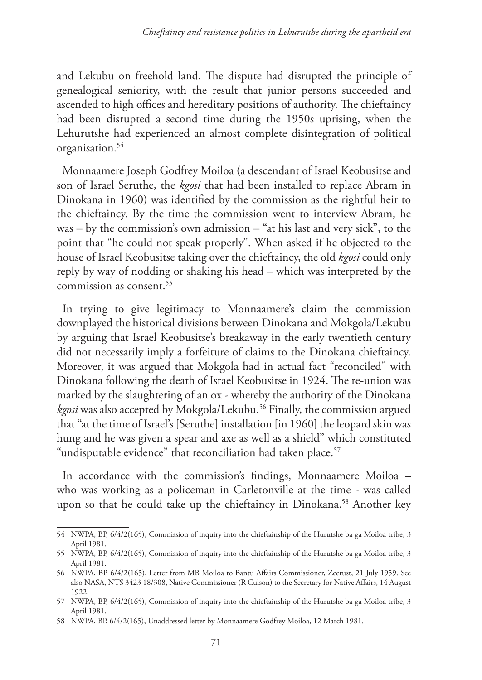and Lekubu on freehold land. The dispute had disrupted the principle of genealogical seniority, with the result that junior persons succeeded and ascended to high offices and hereditary positions of authority. The chieftaincy had been disrupted a second time during the 1950s uprising, when the Lehurutshe had experienced an almost complete disintegration of political organisation.54

Monnaamere Joseph Godfrey Moiloa (a descendant of Israel Keobusitse and son of Israel Seruthe, the *kgosi* that had been installed to replace Abram in Dinokana in 1960) was identified by the commission as the rightful heir to the chieftaincy. By the time the commission went to interview Abram, he was – by the commission's own admission – "at his last and very sick", to the point that "he could not speak properly". When asked if he objected to the house of Israel Keobusitse taking over the chieftaincy, the old *kgosi* could only reply by way of nodding or shaking his head – which was interpreted by the commission as consent.<sup>55</sup>

In trying to give legitimacy to Monnaamere's claim the commission downplayed the historical divisions between Dinokana and Mokgola/Lekubu by arguing that Israel Keobusitse's breakaway in the early twentieth century did not necessarily imply a forfeiture of claims to the Dinokana chieftaincy. Moreover, it was argued that Mokgola had in actual fact "reconciled" with Dinokana following the death of Israel Keobusitse in 1924. The re-union was marked by the slaughtering of an ox - whereby the authority of the Dinokana *kgosi* was also accepted by Mokgola/Lekubu.56 Finally, the commission argued that "at the time of Israel's [Seruthe] installation [in 1960] the leopard skin was hung and he was given a spear and axe as well as a shield" which constituted "undisputable evidence" that reconciliation had taken place.<sup>57</sup>

In accordance with the commission's findings, Monnaamere Moiloa – who was working as a policeman in Carletonville at the time - was called upon so that he could take up the chieftaincy in Dinokana.<sup>58</sup> Another key

<sup>54</sup> NWPA, BP, 6/4/2(165), Commission of inquiry into the chieftainship of the Hurutshe ba ga Moiloa tribe, 3 April 1981.

<sup>55</sup> NWPA, BP, 6/4/2(165), Commission of inquiry into the chieftainship of the Hurutshe ba ga Moiloa tribe, 3 April 1981.

<sup>56</sup> NWPA, BP, 6/4/2(165), Letter from MB Moiloa to Bantu Affairs Commissioner, Zeerust, 21 July 1959. See also NASA, NTS 3423 18/308, Native Commissioner (R Culson) to the Secretary for Native Affairs, 14 August 1922.

<sup>57</sup> NWPA, BP, 6/4/2(165), Commission of inquiry into the chieftainship of the Hurutshe ba ga Moiloa tribe, 3 April 1981.

<sup>58</sup> NWPA, BP, 6/4/2(165), Unaddressed letter by Monnaamere Godfrey Moiloa, 12 March 1981.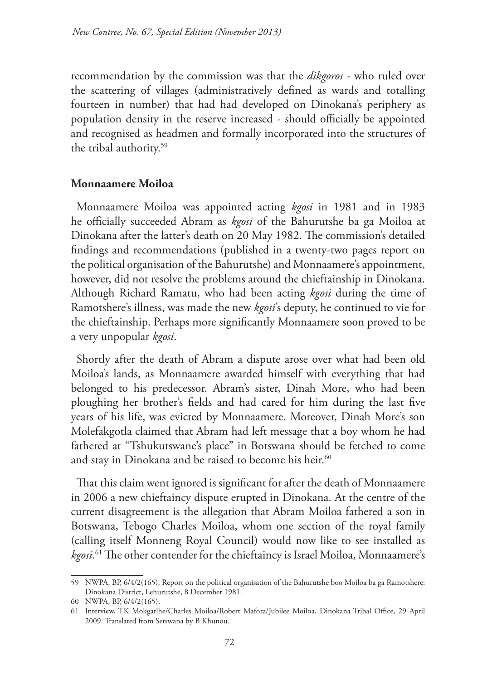recommendation by the commission was that the *dikgoros* - who ruled over the scattering of villages (administratively defined as wards and totalling fourteen in number) that had had developed on Dinokana's periphery as population density in the reserve increased - should officially be appointed and recognised as headmen and formally incorporated into the structures of the tribal authority.59

## **Monnaamere Moiloa**

Monnaamere Moiloa was appointed acting *kgosi* in 1981 and in 1983 he officially succeeded Abram as *kgosi* of the Bahurutshe ba ga Moiloa at Dinokana after the latter's death on 20 May 1982. The commission's detailed findings and recommendations (published in a twenty-two pages report on the political organisation of the Bahurutshe) and Monnaamere's appointment, however, did not resolve the problems around the chieftainship in Dinokana. Although Richard Ramatu, who had been acting *kgosi* during the time of Ramotshere's illness, was made the new *kgosi*'s deputy, he continued to vie for the chieftainship. Perhaps more significantly Monnaamere soon proved to be a very unpopular *kgosi*.

Shortly after the death of Abram a dispute arose over what had been old Moiloa's lands, as Monnaamere awarded himself with everything that had belonged to his predecessor. Abram's sister, Dinah More, who had been ploughing her brother's fields and had cared for him during the last five years of his life, was evicted by Monnaamere. Moreover, Dinah More's son Molefakgotla claimed that Abram had left message that a boy whom he had fathered at "Tshukutswane's place" in Botswana should be fetched to come and stay in Dinokana and be raised to become his heir.<sup>60</sup>

That this claim went ignored is significant for after the death of Monnaamere in 2006 a new chieftaincy dispute erupted in Dinokana. At the centre of the current disagreement is the allegation that Abram Moiloa fathered a son in Botswana, Tebogo Charles Moiloa, whom one section of the royal family (calling itself Monneng Royal Council) would now like to see installed as *kgosi.*61 The other contender for the chieftaincy is Israel Moiloa, Monnaamere's

<sup>59</sup> NWPA, BP, 6/4/2(165), Report on the political organisation of the Bahurutshe boo Moiloa ba ga Ramotshere: Dinokana District, Lehurutshe, 8 December 1981.

<sup>60</sup> NWPA, BP, 6/4/2(165).

<sup>61</sup> Interview, TK Mokgatlhe/Charles Moiloa/Robert Mafora/Jubilee Moiloa, Dinokana Tribal Office, 29 April 2009. Translated from Setswana by B Khunou.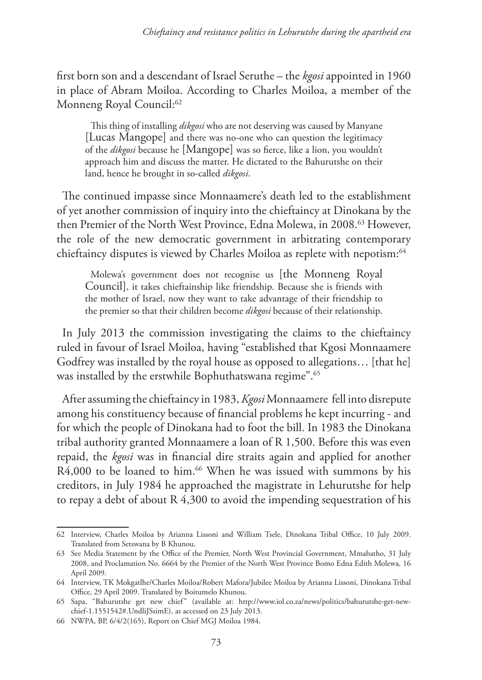first born son and a descendant of Israel Seruthe – the *kgosi* appointed in 1960 in place of Abram Moiloa. According to Charles Moiloa, a member of the Monneng Royal Council:<sup>62</sup>

This thing of installing *dikgosi* who are not deserving was caused by Manyane [Lucas Mangope] and there was no-one who can question the legitimacy of the *dikgosi* because he [Mangope] was so fierce, like a lion, you wouldn't approach him and discuss the matter. He dictated to the Bahurutshe on their land, hence he brought in so-called *dikgosi*.

The continued impasse since Monnaamere's death led to the establishment of yet another commission of inquiry into the chieftaincy at Dinokana by the then Premier of the North West Province, Edna Molewa, in 2008.<sup>63</sup> However, the role of the new democratic government in arbitrating contemporary chieftaincy disputes is viewed by Charles Moiloa as replete with nepotism:<sup>64</sup>

Molewa's government does not recognise us [the Monneng Royal Council], it takes chieftainship like friendship. Because she is friends with the mother of Israel, now they want to take advantage of their friendship to the premier so that their children become *dikgosi* because of their relationship.

In July 2013 the commission investigating the claims to the chieftaincy ruled in favour of Israel Moiloa, having "established that Kgosi Monnaamere Godfrey was installed by the royal house as opposed to allegations… [that he] was installed by the erstwhile Bophuthatswana regime".65

After assuming the chieftaincy in 1983, *Kgosi* Monnaamere fell into disrepute among his constituency because of financial problems he kept incurring - and for which the people of Dinokana had to foot the bill. In 1983 the Dinokana tribal authority granted Monnaamere a loan of R 1,500. Before this was even repaid, the *kgosi* was in financial dire straits again and applied for another R4,000 to be loaned to him.<sup>66</sup> When he was issued with summons by his creditors, in July 1984 he approached the magistrate in Lehurutshe for help to repay a debt of about R 4,300 to avoid the impending sequestration of his

<sup>62</sup> Interview, Charles Moiloa by Arianna Lissoni and William Tsele, Dinokana Tribal Office, 10 July 2009. Translated from Setswana by B Khunou.

<sup>63</sup> See Media Statement by the Office of the Premier, North West Provincial Government, Mmabatho, 31 July 2008, and Proclamation No. 6664 by the Premier of the North West Province Bomo Edna Edith Molewa, 16 April 2009.

<sup>64</sup> Interview, TK Mokgatlhe/Charles Moiloa/Robert Mafora/Jubilee Moiloa by Arianna Lissoni, Dinokana Tribal Office, 29 April 2009. Translated by Boitumelo Khunou.

<sup>65</sup> Sapa, "Bahurutshe get new chief" (available at: http://www.iol.co.za/news/politics/bahurutshe-get-newchief-1.1551542#.UndliJSsimE), as accessed on 23 July 2013.

<sup>66</sup> NWPA, BP, 6/4/2(165), Report on Chief MGJ Moiloa 1984.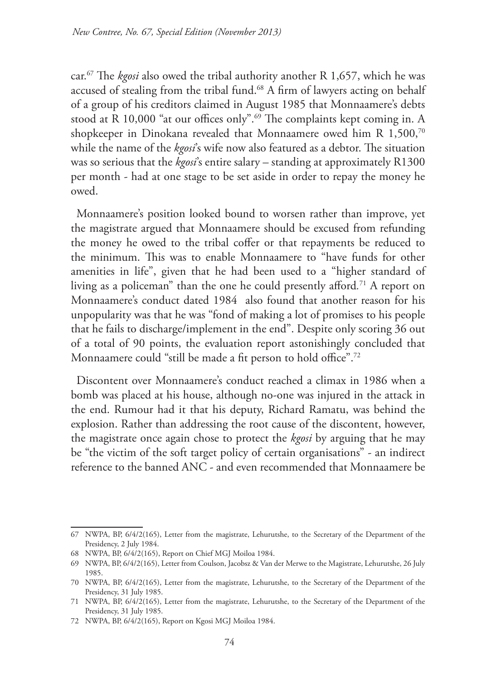car.67 The *kgosi* also owed the tribal authority another R 1,657, which he was accused of stealing from the tribal fund.<sup>68</sup> A firm of lawyers acting on behalf of a group of his creditors claimed in August 1985 that Monnaamere's debts stood at R 10,000 "at our offices only".<sup>69</sup> The complaints kept coming in. A shopkeeper in Dinokana revealed that Monnaamere owed him R 1,500,70 while the name of the *kgosi*'s wife now also featured as a debtor. The situation was so serious that the *kgosi*'s entire salary – standing at approximately R1300 per month - had at one stage to be set aside in order to repay the money he owed.

Monnaamere's position looked bound to worsen rather than improve, yet the magistrate argued that Monnaamere should be excused from refunding the money he owed to the tribal coffer or that repayments be reduced to the minimum. This was to enable Monnaamere to "have funds for other amenities in life", given that he had been used to a "higher standard of living as a policeman" than the one he could presently afford*.* 71 A report on Monnaamere's conduct dated 1984 also found that another reason for his unpopularity was that he was "fond of making a lot of promises to his people that he fails to discharge/implement in the end". Despite only scoring 36 out of a total of 90 points, the evaluation report astonishingly concluded that Monnaamere could "still be made a fit person to hold office".72

Discontent over Monnaamere's conduct reached a climax in 1986 when a bomb was placed at his house, although no-one was injured in the attack in the end. Rumour had it that his deputy, Richard Ramatu, was behind the explosion. Rather than addressing the root cause of the discontent, however, the magistrate once again chose to protect the *kgosi* by arguing that he may be "the victim of the soft target policy of certain organisations" - an indirect reference to the banned ANC - and even recommended that Monnaamere be

<sup>67</sup> NWPA, BP, 6/4/2(165), Letter from the magistrate, Lehurutshe, to the Secretary of the Department of the Presidency, 2 July 1984.

<sup>68</sup> NWPA, BP, 6/4/2(165), Report on Chief MGJ Moiloa 1984.

<sup>69</sup> NWPA, BP, 6/4/2(165), Letter from Coulson, Jacobsz & Van der Merwe to the Magistrate, Lehurutshe, 26 July 1985.

<sup>70</sup> NWPA, BP, 6/4/2(165), Letter from the magistrate, Lehurutshe, to the Secretary of the Department of the Presidency, 31 July 1985.

<sup>71</sup> NWPA, BP, 6/4/2(165), Letter from the magistrate, Lehurutshe, to the Secretary of the Department of the Presidency, 31 July 1985.

<sup>72</sup> NWPA, BP, 6/4/2(165), Report on Kgosi MGJ Moiloa 1984.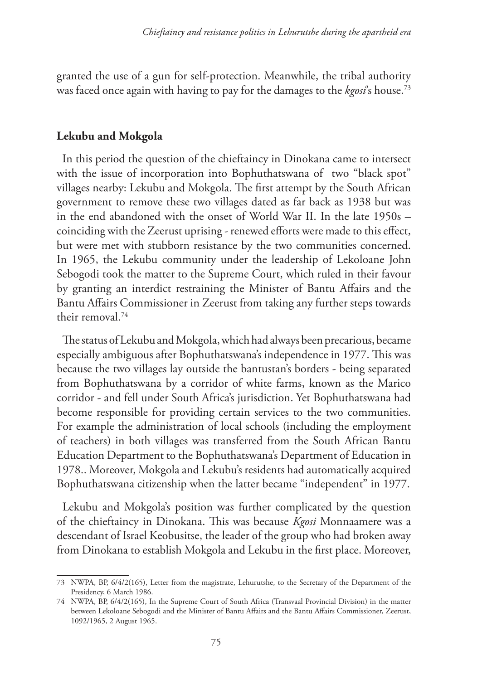granted the use of a gun for self-protection. Meanwhile, the tribal authority was faced once again with having to pay for the damages to the *kgosi*'s house.73

#### **Lekubu and Mokgola**

In this period the question of the chieftaincy in Dinokana came to intersect with the issue of incorporation into Bophuthatswana of two "black spot" villages nearby: Lekubu and Mokgola. The first attempt by the South African government to remove these two villages dated as far back as 1938 but was in the end abandoned with the onset of World War II. In the late 1950s – coinciding with the Zeerust uprising - renewed efforts were made to this effect, but were met with stubborn resistance by the two communities concerned. In 1965, the Lekubu community under the leadership of Lekoloane John Sebogodi took the matter to the Supreme Court, which ruled in their favour by granting an interdict restraining the Minister of Bantu Affairs and the Bantu Affairs Commissioner in Zeerust from taking any further steps towards their removal.74

The status of Lekubu and Mokgola, which had always been precarious, became especially ambiguous after Bophuthatswana's independence in 1977. This was because the two villages lay outside the bantustan's borders - being separated from Bophuthatswana by a corridor of white farms, known as the Marico corridor - and fell under South Africa's jurisdiction. Yet Bophuthatswana had become responsible for providing certain services to the two communities. For example the administration of local schools (including the employment of teachers) in both villages was transferred from the South African Bantu Education Department to the Bophuthatswana's Department of Education in 1978.. Moreover, Mokgola and Lekubu's residents had automatically acquired Bophuthatswana citizenship when the latter became "independent" in 1977.

Lekubu and Mokgola's position was further complicated by the question of the chieftaincy in Dinokana. This was because *Kgosi* Monnaamere was a descendant of Israel Keobusitse, the leader of the group who had broken away from Dinokana to establish Mokgola and Lekubu in the first place. Moreover,

<sup>73</sup> NWPA, BP, 6/4/2(165), Letter from the magistrate, Lehurutshe, to the Secretary of the Department of the Presidency, 6 March 1986.

<sup>74</sup> NWPA, BP, 6/4/2(165), In the Supreme Court of South Africa (Transvaal Provincial Division) in the matter between Lekoloane Sebogodi and the Minister of Bantu Affairs and the Bantu Affairs Commissioner, Zeerust, 1092/1965, 2 August 1965.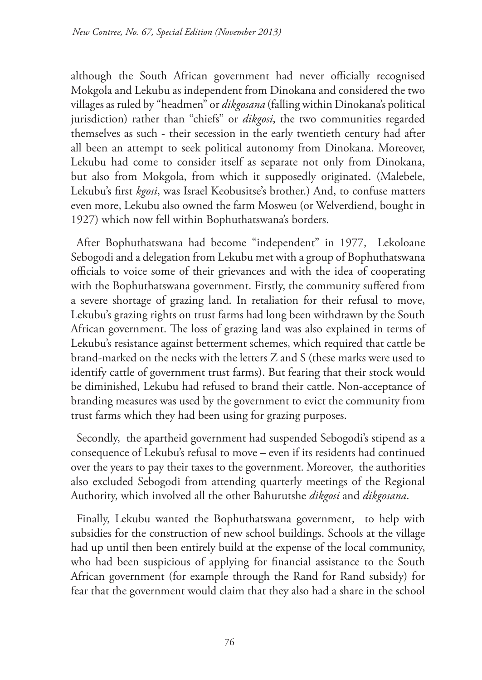although the South African government had never officially recognised Mokgola and Lekubu as independent from Dinokana and considered the two villages as ruled by "headmen" or *dikgosana* (falling within Dinokana's political jurisdiction) rather than "chiefs" or *dikgosi*, the two communities regarded themselves as such - their secession in the early twentieth century had after all been an attempt to seek political autonomy from Dinokana. Moreover, Lekubu had come to consider itself as separate not only from Dinokana, but also from Mokgola, from which it supposedly originated. (Malebele, Lekubu's first *kgosi*, was Israel Keobusitse's brother.) And, to confuse matters even more, Lekubu also owned the farm Mosweu (or Welverdiend, bought in 1927) which now fell within Bophuthatswana's borders.

After Bophuthatswana had become "independent" in 1977, Lekoloane Sebogodi and a delegation from Lekubu met with a group of Bophuthatswana officials to voice some of their grievances and with the idea of cooperating with the Bophuthatswana government. Firstly, the community suffered from a severe shortage of grazing land. In retaliation for their refusal to move, Lekubu's grazing rights on trust farms had long been withdrawn by the South African government. The loss of grazing land was also explained in terms of Lekubu's resistance against betterment schemes, which required that cattle be brand-marked on the necks with the letters Z and S (these marks were used to identify cattle of government trust farms). But fearing that their stock would be diminished, Lekubu had refused to brand their cattle. Non-acceptance of branding measures was used by the government to evict the community from trust farms which they had been using for grazing purposes.

Secondly, the apartheid government had suspended Sebogodi's stipend as a consequence of Lekubu's refusal to move – even if its residents had continued over the years to pay their taxes to the government. Moreover, the authorities also excluded Sebogodi from attending quarterly meetings of the Regional Authority, which involved all the other Bahurutshe *dikgosi* and *dikgosana*.

Finally, Lekubu wanted the Bophuthatswana government, to help with subsidies for the construction of new school buildings. Schools at the village had up until then been entirely build at the expense of the local community, who had been suspicious of applying for financial assistance to the South African government (for example through the Rand for Rand subsidy) for fear that the government would claim that they also had a share in the school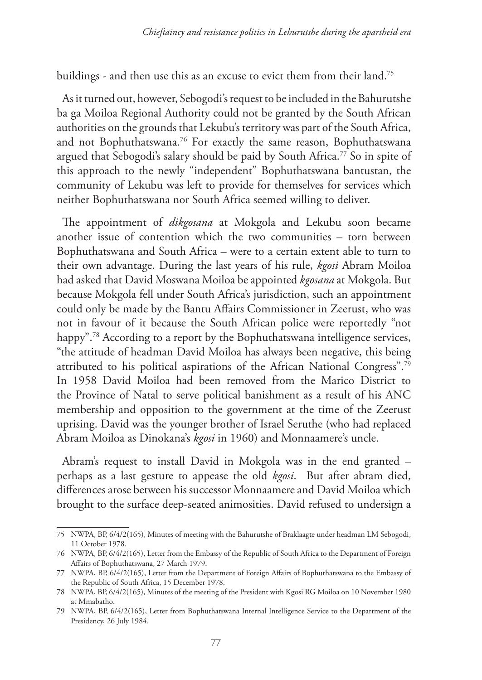buildings - and then use this as an excuse to evict them from their land.<sup>75</sup>

As it turned out, however, Sebogodi's request to be included in the Bahurutshe ba ga Moiloa Regional Authority could not be granted by the South African authorities on the grounds that Lekubu's territory was part of the South Africa, and not Bophuthatswana.<sup>76</sup> For exactly the same reason, Bophuthatswana argued that Sebogodi's salary should be paid by South Africa.<sup>77</sup> So in spite of this approach to the newly "independent" Bophuthatswana bantustan, the community of Lekubu was left to provide for themselves for services which neither Bophuthatswana nor South Africa seemed willing to deliver.

The appointment of *dikgosana* at Mokgola and Lekubu soon became another issue of contention which the two communities – torn between Bophuthatswana and South Africa – were to a certain extent able to turn to their own advantage. During the last years of his rule, *kgosi* Abram Moiloa had asked that David Moswana Moiloa be appointed *kgosana* at Mokgola. But because Mokgola fell under South Africa's jurisdiction, such an appointment could only be made by the Bantu Affairs Commissioner in Zeerust, who was not in favour of it because the South African police were reportedly "not happy".<sup>78</sup> According to a report by the Bophuthatswana intelligence services, "the attitude of headman David Moiloa has always been negative, this being attributed to his political aspirations of the African National Congress".79 In 1958 David Moiloa had been removed from the Marico District to the Province of Natal to serve political banishment as a result of his ANC membership and opposition to the government at the time of the Zeerust uprising. David was the younger brother of Israel Seruthe (who had replaced Abram Moiloa as Dinokana's *kgosi* in 1960) and Monnaamere's uncle.

Abram's request to install David in Mokgola was in the end granted – perhaps as a last gesture to appease the old *kgosi*. But after abram died, differences arose between his successor Monnaamere and David Moiloa which brought to the surface deep-seated animosities. David refused to undersign a

<sup>75</sup> NWPA, BP, 6/4/2(165), Minutes of meeting with the Bahurutshe of Braklaagte under headman LM Sebogodi, 11 October 1978.

<sup>76</sup> NWPA, BP, 6/4/2(165), Letter from the Embassy of the Republic of South Africa to the Department of Foreign Affairs of Bophuthatswana, 27 March 1979.

<sup>77</sup> NWPA, BP, 6/4/2(165), Letter from the Department of Foreign Affairs of Bophuthatswana to the Embassy of the Republic of South Africa, 15 December 1978.

<sup>78</sup> NWPA, BP, 6/4/2(165), Minutes of the meeting of the President with Kgosi RG Moiloa on 10 November 1980 at Mmabatho.

<sup>79</sup> NWPA, BP, 6/4/2(165), Letter from Bophuthatswana Internal Intelligence Service to the Department of the Presidency, 26 July 1984.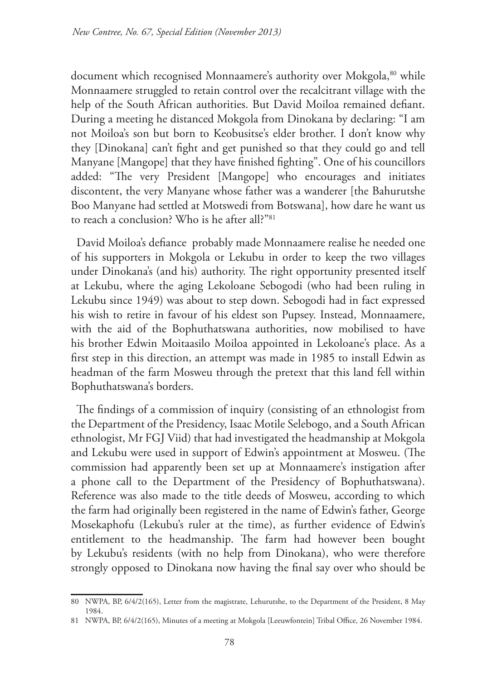document which recognised Monnaamere's authority over Mokgola, 80 while Monnaamere struggled to retain control over the recalcitrant village with the help of the South African authorities. But David Moiloa remained defiant. During a meeting he distanced Mokgola from Dinokana by declaring: "I am not Moiloa's son but born to Keobusitse's elder brother. I don't know why they [Dinokana] can't fight and get punished so that they could go and tell Manyane [Mangope] that they have finished fighting". One of his councillors added: "The very President [Mangope] who encourages and initiates discontent, the very Manyane whose father was a wanderer [the Bahurutshe Boo Manyane had settled at Motswedi from Botswana], how dare he want us to reach a conclusion? Who is he after all?"81

David Moiloa's defiance probably made Monnaamere realise he needed one of his supporters in Mokgola or Lekubu in order to keep the two villages under Dinokana's (and his) authority. The right opportunity presented itself at Lekubu, where the aging Lekoloane Sebogodi (who had been ruling in Lekubu since 1949) was about to step down. Sebogodi had in fact expressed his wish to retire in favour of his eldest son Pupsey. Instead, Monnaamere, with the aid of the Bophuthatswana authorities, now mobilised to have his brother Edwin Moitaasilo Moiloa appointed in Lekoloane's place. As a first step in this direction, an attempt was made in 1985 to install Edwin as headman of the farm Mosweu through the pretext that this land fell within Bophuthatswana's borders.

The findings of a commission of inquiry (consisting of an ethnologist from the Department of the Presidency, Isaac Motile Selebogo, and a South African ethnologist, Mr FGJ Viid) that had investigated the headmanship at Mokgola and Lekubu were used in support of Edwin's appointment at Mosweu. (The commission had apparently been set up at Monnaamere's instigation after a phone call to the Department of the Presidency of Bophuthatswana). Reference was also made to the title deeds of Mosweu, according to which the farm had originally been registered in the name of Edwin's father, George Mosekaphofu (Lekubu's ruler at the time), as further evidence of Edwin's entitlement to the headmanship. The farm had however been bought by Lekubu's residents (with no help from Dinokana), who were therefore strongly opposed to Dinokana now having the final say over who should be

<sup>80</sup> NWPA, BP, 6/4/2(165), Letter from the magistrate, Lehurutshe, to the Department of the President, 8 May 1984.

<sup>81</sup> NWPA, BP, 6/4/2(165), Minutes of a meeting at Mokgola [Leeuwfontein] Tribal Office, 26 November 1984.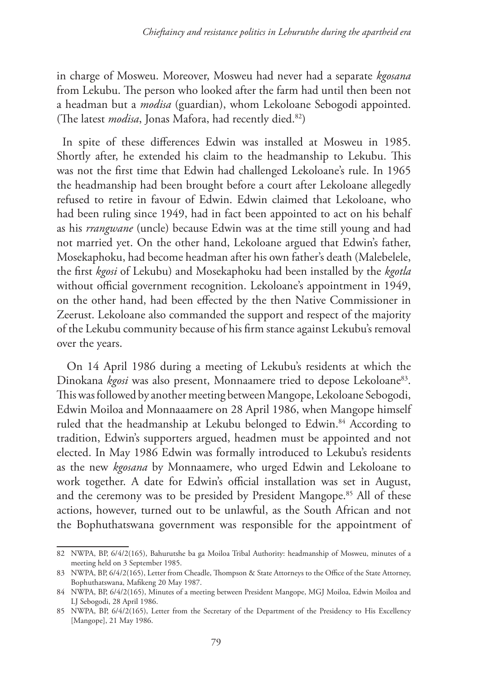in charge of Mosweu. Moreover, Mosweu had never had a separate *kgosana* from Lekubu. The person who looked after the farm had until then been not a headman but a *modisa* (guardian), whom Lekoloane Sebogodi appointed. (The latest *modisa*, Jonas Mafora, had recently died.<sup>82</sup>)

In spite of these differences Edwin was installed at Mosweu in 1985. Shortly after, he extended his claim to the headmanship to Lekubu. This was not the first time that Edwin had challenged Lekoloane's rule. In 1965 the headmanship had been brought before a court after Lekoloane allegedly refused to retire in favour of Edwin. Edwin claimed that Lekoloane, who had been ruling since 1949, had in fact been appointed to act on his behalf as his *rrangwane* (uncle) because Edwin was at the time still young and had not married yet. On the other hand, Lekoloane argued that Edwin's father, Mosekaphoku, had become headman after his own father's death (Malebelele, the first *kgosi* of Lekubu) and Mosekaphoku had been installed by the *kgotla* without official government recognition. Lekoloane's appointment in 1949, on the other hand, had been effected by the then Native Commissioner in Zeerust. Lekoloane also commanded the support and respect of the majority of the Lekubu community because of his firm stance against Lekubu's removal over the years.

 On 14 April 1986 during a meeting of Lekubu's residents at which the Dinokana *kgosi* was also present, Monnaamere tried to depose Lekoloane<sup>83</sup>. This was followed by another meeting between Mangope, Lekoloane Sebogodi, Edwin Moiloa and Monnaaamere on 28 April 1986, when Mangope himself ruled that the headmanship at Lekubu belonged to Edwin.<sup>84</sup> According to tradition, Edwin's supporters argued, headmen must be appointed and not elected. In May 1986 Edwin was formally introduced to Lekubu's residents as the new *kgosana* by Monnaamere, who urged Edwin and Lekoloane to work together. A date for Edwin's official installation was set in August, and the ceremony was to be presided by President Mangope.<sup>85</sup> All of these actions, however, turned out to be unlawful, as the South African and not the Bophuthatswana government was responsible for the appointment of

<sup>82</sup> NWPA, BP, 6/4/2(165), Bahurutshe ba ga Moiloa Tribal Authority: headmanship of Mosweu, minutes of a meeting held on 3 September 1985.

<sup>83</sup> NWPA, BP, 6/4/2(165), Letter from Cheadle, Thompson & State Attorneys to the Office of the State Attorney, Bophuthatswana, Mafikeng 20 May 1987.

<sup>84</sup> NWPA, BP, 6/4/2(165), Minutes of a meeting between President Mangope, MGJ Moiloa, Edwin Moiloa and LJ Sebogodi, 28 April 1986.

<sup>85</sup> NWPA, BP, 6/4/2(165), Letter from the Secretary of the Department of the Presidency to His Excellency [Mangope], 21 May 1986.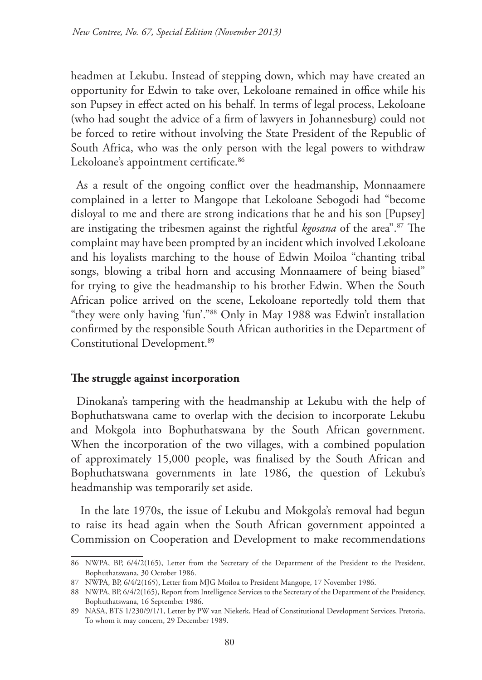headmen at Lekubu. Instead of stepping down, which may have created an opportunity for Edwin to take over, Lekoloane remained in office while his son Pupsey in effect acted on his behalf. In terms of legal process, Lekoloane (who had sought the advice of a firm of lawyers in Johannesburg) could not be forced to retire without involving the State President of the Republic of South Africa, who was the only person with the legal powers to withdraw Lekoloane's appointment certificate.<sup>86</sup>

As a result of the ongoing conflict over the headmanship, Monnaamere complained in a letter to Mangope that Lekoloane Sebogodi had "become disloyal to me and there are strong indications that he and his son [Pupsey] are instigating the tribesmen against the rightful *kgosana* of the area".87 The complaint may have been prompted by an incident which involved Lekoloane and his loyalists marching to the house of Edwin Moiloa "chanting tribal songs, blowing a tribal horn and accusing Monnaamere of being biased" for trying to give the headmanship to his brother Edwin. When the South African police arrived on the scene, Lekoloane reportedly told them that "they were only having 'fun'."88 Only in May 1988 was Edwin't installation confirmed by the responsible South African authorities in the Department of Constitutional Development.89

### **The struggle against incorporation**

Dinokana's tampering with the headmanship at Lekubu with the help of Bophuthatswana came to overlap with the decision to incorporate Lekubu and Mokgola into Bophuthatswana by the South African government. When the incorporation of the two villages, with a combined population of approximately 15,000 people, was finalised by the South African and Bophuthatswana governments in late 1986, the question of Lekubu's headmanship was temporarily set aside.

 In the late 1970s, the issue of Lekubu and Mokgola's removal had begun to raise its head again when the South African government appointed a Commission on Cooperation and Development to make recommendations

<sup>86</sup> NWPA, BP, 6/4/2(165), Letter from the Secretary of the Department of the President to the President, Bophuthatswana, 30 October 1986.

<sup>87</sup> NWPA, BP, 6/4/2(165), Letter from MJG Moiloa to President Mangope, 17 November 1986.

<sup>88</sup> NWPA, BP, 6/4/2(165), Report from Intelligence Services to the Secretary of the Department of the Presidency, Bophuthatswana, 16 September 1986.

<sup>89</sup> NASA, BTS 1/230/9/1/1, Letter by PW van Niekerk, Head of Constitutional Development Services, Pretoria, To whom it may concern, 29 December 1989.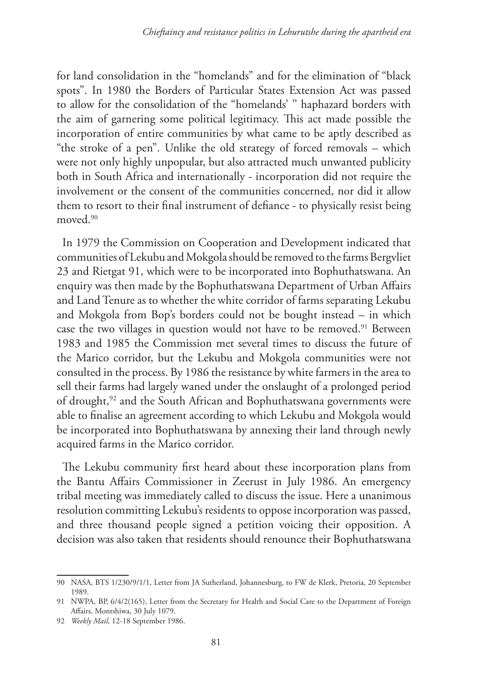for land consolidation in the "homelands" and for the elimination of "black spots". In 1980 the Borders of Particular States Extension Act was passed to allow for the consolidation of the "homelands' '' haphazard borders with the aim of garnering some political legitimacy. This act made possible the incorporation of entire communities by what came to be aptly described as "the stroke of a pen". Unlike the old strategy of forced removals – which were not only highly unpopular, but also attracted much unwanted publicity both in South Africa and internationally - incorporation did not require the involvement or the consent of the communities concerned, nor did it allow them to resort to their final instrument of defiance - to physically resist being moved.90

In 1979 the Commission on Cooperation and Development indicated that communities of Lekubu and Mokgola should be removed to the farms Bergvliet 23 and Rietgat 91, which were to be incorporated into Bophuthatswana. An enquiry was then made by the Bophuthatswana Department of Urban Affairs and Land Tenure as to whether the white corridor of farms separating Lekubu and Mokgola from Bop's borders could not be bought instead – in which case the two villages in question would not have to be removed.<sup>91</sup> Between 1983 and 1985 the Commission met several times to discuss the future of the Marico corridor, but the Lekubu and Mokgola communities were not consulted in the process. By 1986 the resistance by white farmers in the area to sell their farms had largely waned under the onslaught of a prolonged period of drought,92 and the South African and Bophuthatswana governments were able to finalise an agreement according to which Lekubu and Mokgola would be incorporated into Bophuthatswana by annexing their land through newly acquired farms in the Marico corridor.

The Lekubu community first heard about these incorporation plans from the Bantu Affairs Commissioner in Zeerust in July 1986. An emergency tribal meeting was immediately called to discuss the issue. Here a unanimous resolution committing Lekubu's residents to oppose incorporation was passed, and three thousand people signed a petition voicing their opposition. A decision was also taken that residents should renounce their Bophuthatswana

<sup>90</sup> NASA, BTS 1/230/9/1/1, Letter from JA Sutherland, Johannesburg, to FW de Klerk, Pretoria, 20 September 1989.

<sup>91</sup> NWPA, BP, 6/4/2(165), Letter from the Secretary for Health and Social Care to the Department of Foreign Affairs, Montshiwa, 30 July 1079.

<sup>92</sup> *Weekly Mail*, 12-18 September 1986.